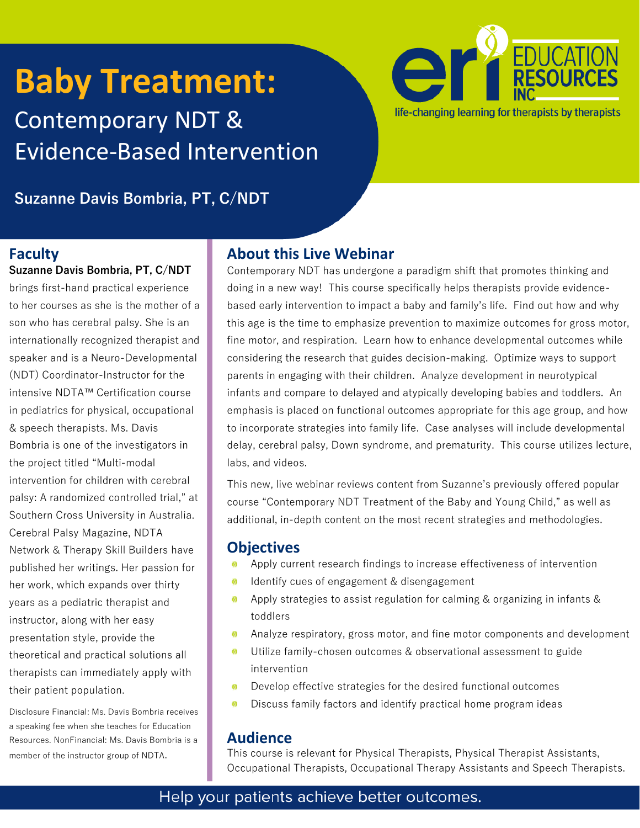# **Baby Treatment:**  Contemporary NDT & Evidence-Based Intervention



**Suzanne Davis Bombria, PT, C/NDT**

### **Faculty**

**Suzanne Davis Bombria, PT, C/NDT**  brings first-hand practical experience to her courses as she is the mother of a son who has cerebral palsy. She is an internationally recognized therapist and speaker and is a Neuro-Developmental (NDT) Coordinator-Instructor for the intensive NDTA™ Certification course in pediatrics for physical, occupational & speech therapists. Ms. Davis Bombria is one of the investigators in the project titled "Multi-modal intervention for children with cerebral palsy: A randomized controlled trial," at Southern Cross University in Australia. Cerebral Palsy Magazine, NDTA Network & Therapy Skill Builders have published her writings. Her passion for her work, which expands over thirty years as a pediatric therapist and instructor, along with her easy presentation style, provide the theoretical and practical solutions all therapists can immediately apply with their patient population.

Disclosure Financial: Ms. Davis Bombria receives a speaking fee when she teaches for Education Resources. NonFinancial: Ms. Davis Bombria is a member of the instructor group of NDTA.

# **About this Live Webinar**

Contemporary NDT has undergone a paradigm shift that promotes thinking and doing in a new way! This course specifically helps therapists provide evidencebased early intervention to impact a baby and family's life. Find out how and why this age is the time to emphasize prevention to maximize outcomes for gross motor, fine motor, and respiration. Learn how to enhance developmental outcomes while considering the research that guides decision-making. Optimize ways to support parents in engaging with their children. Analyze development in neurotypical infants and compare to delayed and atypically developing babies and toddlers. An emphasis is placed on functional outcomes appropriate for this age group, and how to incorporate strategies into family life. Case analyses will include developmental delay, cerebral palsy, Down syndrome, and prematurity. This course utilizes lecture, labs, and videos.

This new, live webinar reviews content from Suzanne's previously offered popular course "Contemporary NDT Treatment of the Baby and Young Child," as well as additional, in-depth content on the most recent strategies and methodologies.

# **Objectives**

- Apply current research findings to increase effectiveness of intervention
- Identify cues of engagement & disengagement  $\boldsymbol{\omega}$
- Apply strategies to assist regulation for calming & organizing in infants &  $\boldsymbol{\omega}$ toddlers
- Analyze respiratory, gross motor, and fine motor components and development Ø
- Utilize family-chosen outcomes & observational assessment to guide 6 intervention
- Develop effective strategies for the desired functional outcomes  $\boldsymbol{\omega}$
- Ø Discuss family factors and identify practical home program ideas

### **Audience**

This course is relevant for Physical Therapists, Physical Therapist Assistants, Occupational Therapists, Occupational Therapy Assistants and Speech Therapists.

# Help your patients achieve better outcomes.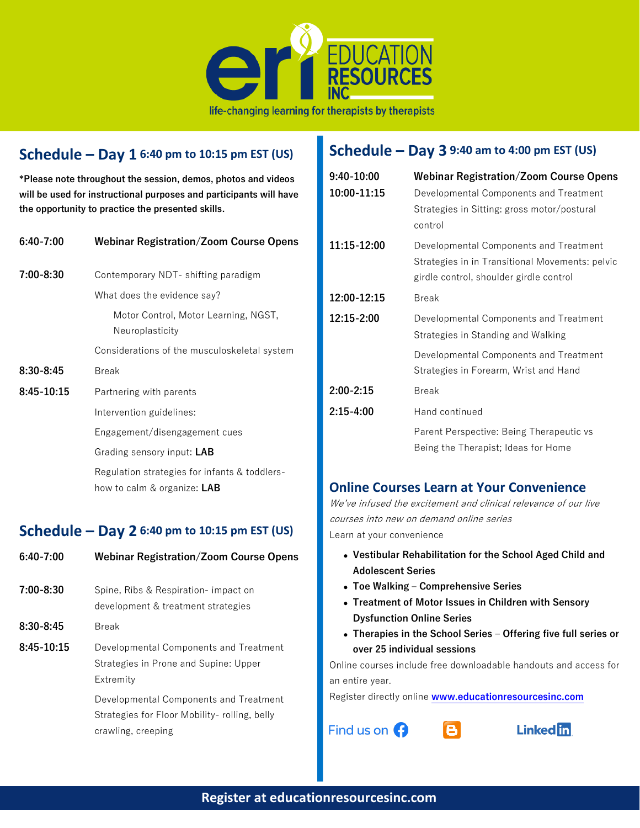

## **Schedule – Day 1 6:40 pm to 10:15 pm EST (US)**

**\*Please note throughout the session, demos, photos and videos will be used for instructional purposes and participants will have the opportunity to practice the presented skills.** 

| 6:40-7:00     | <b>Webinar Registration/Zoom Course Opens</b>                                |
|---------------|------------------------------------------------------------------------------|
| $7:00 - 8:30$ | Contemporary NDT- shifting paradigm                                          |
|               | What does the evidence say?                                                  |
|               | Motor Control, Motor Learning, NGST,<br>Neuroplasticity                      |
|               | Considerations of the musculoskeletal system                                 |
| $8:30 - 8:45$ | Break                                                                        |
| 8:45-10:15    | Partnering with parents                                                      |
|               | Intervention guidelines:                                                     |
|               | Engagement/disengagement cues                                                |
|               | Grading sensory input: LAB                                                   |
|               | Regulation strategies for infants & toddlers-<br>how to calm & organize: LAB |
|               |                                                                              |

#### **Schedule – Day 2 6:40 pm to 10:15 pm EST (US)**

| $6:40 - 7:00$ | <b>Webinar Registration/Zoom Course Opens</b>                                                                 |
|---------------|---------------------------------------------------------------------------------------------------------------|
| $7:00 - 8:30$ | Spine, Ribs & Respiration- impact on<br>development & treatment strategies                                    |
| $8:30 - 8:45$ | <b>Break</b>                                                                                                  |
| $8:45-10:15$  | Developmental Components and Treatment<br>Strategies in Prone and Supine: Upper<br>Extremity                  |
|               | Developmental Components and Treatment<br>Strategies for Floor Mobility- rolling, belly<br>crawling, creeping |

# **Schedule – Day 3 9:40 am to 4:00 pm EST (US)**

| 9:40-10:00    | <b>Webinar Registration/Zoom Course Opens</b>                                                                                        |  |
|---------------|--------------------------------------------------------------------------------------------------------------------------------------|--|
| 10:00-11:15   | Developmental Components and Treatment<br>Strategies in Sitting: gross motor/postural<br>control                                     |  |
| 11:15-12:00   | Developmental Components and Treatment<br>Strategies in in Transitional Movements: pelvic<br>girdle control, shoulder girdle control |  |
| 12:00-12:15   | <b>Break</b>                                                                                                                         |  |
| 12:15-2:00    | Developmental Components and Treatment<br>Strategies in Standing and Walking                                                         |  |
|               | Developmental Components and Treatment<br>Strategies in Forearm, Wrist and Hand                                                      |  |
| $2:00 - 2:15$ | <b>Break</b>                                                                                                                         |  |
| $2:15-4:00$   | Hand continued                                                                                                                       |  |
|               | Parent Perspective: Being Therapeutic vs<br>Being the Therapist; Ideas for Home                                                      |  |

### **Online Courses Learn at Your Convenience**

We've infused the excitement and clinical relevance of our live courses into new on demand online series Learn at your convenience

- **Vestibular Rehabilitation for the School Aged Child and Adolescent Series**
- **Toe Walking – Comprehensive Series**
- **[Treatment of Motor Issues in Children with Sensory](https://www.educationresourcesinc.com/courses/2020-04-20/treatment-of-motor-issues-in-children-with-sensory-dysfunction-online/)  [Dysfunction Online Series](https://www.educationresourcesinc.com/courses/2020-04-20/treatment-of-motor-issues-in-children-with-sensory-dysfunction-online/)**
- **Therapies in the School Series – Offering five full series or over 25 individual sessions**

Online courses include free downloadable handouts and access for an entire year.

Register directly online **[www.educationresourcesinc.com](http://www.educationresourcesinc.com/)**

 $\mathbf{B}$ 

Find us on  $\bigodot$ 

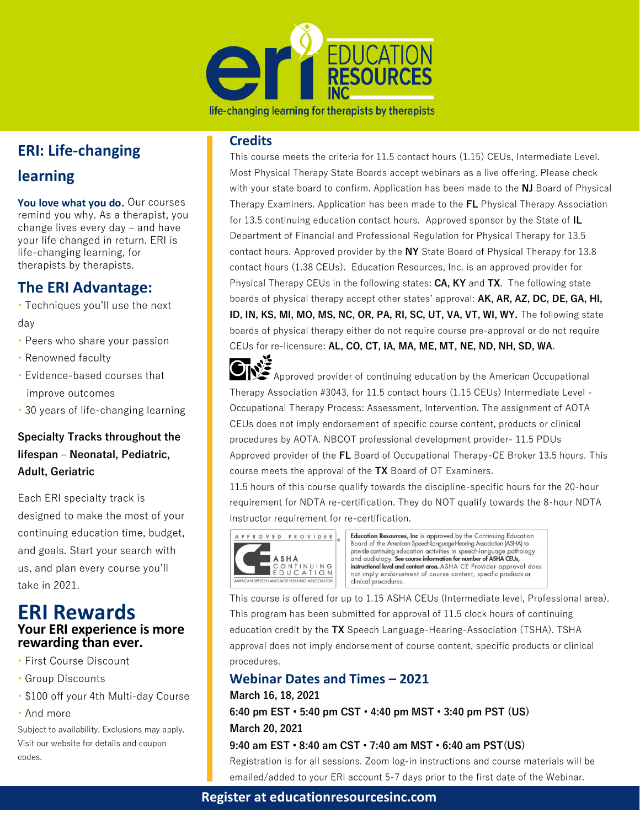

life-changing learning for therapists by therapists

# **ERI: Life-changing**

# **learning**

**You love what you do.** Our courses remind you why. As a therapist, you change lives every day – and have your life changed in return. ERI is life-changing learning, for therapists by therapists.

# **The ERI Advantage:**

• Techniques you'll use the next day

- Peers who share your passion
- Renowned faculty
- Evidence-based courses that improve outcomes
- 30 years of life-changing learning

### **Specialty Tracks throughout the lifespan – Neonatal, Pediatric, Adult, Geriatric**

Each ERI specialty track is designed to make the most of your continuing education time, budget, and goals. Start your search with us, and plan every course you'll take in 2021.

## **ERI Rewards Your ERI experience is more rewarding than ever.**

- First Course Discount
- Group Discounts
- \$100 off your 4th Multi-day Course
- And more

Subject to availability. Exclusions may apply. Visit our website for details and coupon codes.

#### **Credits**

This course meets the criteria for 11.5 contact hours (1.15) CEUs, Intermediate Level. Most Physical Therapy State Boards accept webinars as a live offering. Please check with your state board to confirm. Application has been made to the **NJ** Board of Physical Therapy Examiners. Application has been made to the **FL** Physical Therapy Association for 13.5 continuing education contact hours. Approved sponsor by the State of **IL** Department of Financial and Professional Regulation for Physical Therapy for 13.5 contact hours. Approved provider by the **NY** State Board of Physical Therapy for 13.8 contact hours (1.38 CEUs). Education Resources, Inc. is an approved provider for Physical Therapy CEUs in the following states: **CA, KY** and **TX**. The following state boards of physical therapy accept other states' approval: **AK, AR, AZ, DC, DE, GA, HI, ID, IN, KS, MI, MO, MS, NC, OR, PA, RI, SC, UT, VA, VT, WI, WY.** The following state boards of physical therapy either do not require course pre-approval or do not require CEUs for re-licensure: **AL, CO, CT, IA, MA, ME, MT, NE, ND, NH, SD, WA**.

 $\leq$ Approved provider of continuing education by the American Occupational Therapy Association #3043, for 11.5 contact hours (1.15 CEUs) Intermediate Level - Occupational Therapy Process: Assessment, Intervention. The assignment of AOTA CEUs does not imply endorsement of specific course content, products or clinical procedures by AOTA. NBCOT professional development provider- 11.5 PDUs Approved provider of the **FL** Board of Occupational Therapy-CE Broker 13.5 hours. This course meets the approval of the **TX** Board of OT Examiners.

11.5 hours of this course qualify towards the discipline-specific hours for the 20-hour requirement for NDTA re-certification. They do NOT qualify towards the 8-hour NDTA Instructor requirement for re-certification.



Education Resources, Inc is approved by the Continuing Education Board of the American Speech Language Hearing Association (ASHA) to provide continuing education activities in speech-language pathology<br>and audiology. See course information for number of ASHA CEUs,<br>instructional level and content area. ASHA CE Provider approval does not imply endorsement of course content, specific products or clinical procedures.

This course is offered for up to 1.15 ASHA CEUs (Intermediate level, Professional area). This program has been submitted for approval of 11.5 clock hours of continuing education credit by the **TX** Speech Language-Hearing-Association (TSHA). TSHA approval does not imply endorsement of course content, specific products or clinical procedures.

### **Webinar Dates and Times – 2021**

#### **March 16, 18, 2021**

**6:40 pm EST • 5:40 pm CST • 4:40 pm MST • 3:40 pm PST (US) March 20, 2021**

#### **9:40 am EST • 8:40 am CST • 7:40 am MST • 6:40 am PST(US)**

Registration is for all sessions. Zoom log-in instructions and course materials will be emailed/added to your ERI account 5-7 days prior to the first date of the Webinar.

#### **Register at educationresourcesinc.com**